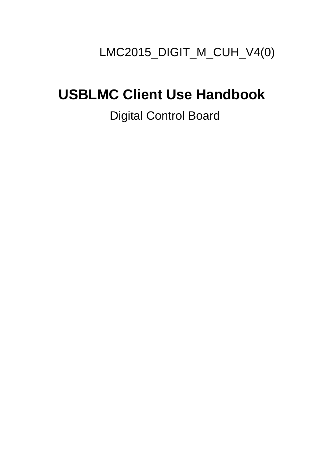# LMC2015\_DIGIT\_M\_CUH\_V4(0)

# **USBLMC Client Use Handbook**

## Digital Control Board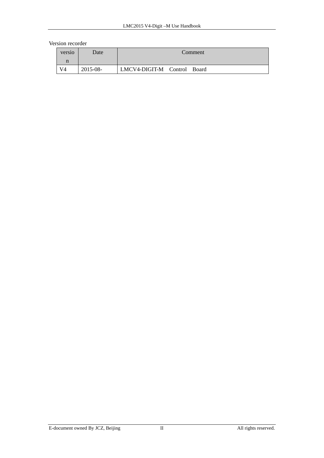#### Version recorder

| versio | Date     | Comment                     |  |
|--------|----------|-----------------------------|--|
| n      |          |                             |  |
| V4     | 2015-08- | LMCV4-DIGIT-M Control Board |  |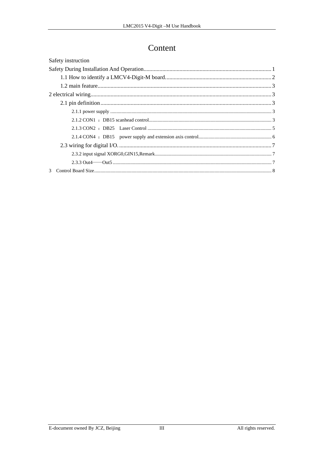### Content

| Safety instruction |  |  |
|--------------------|--|--|
|                    |  |  |
|                    |  |  |
|                    |  |  |
|                    |  |  |
|                    |  |  |
|                    |  |  |
|                    |  |  |
|                    |  |  |
|                    |  |  |
|                    |  |  |
|                    |  |  |
|                    |  |  |
| $\mathcal{E}$      |  |  |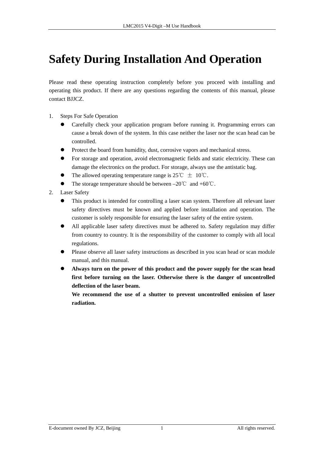## <span id="page-3-0"></span>**Safety During Installation And Operation**

Please read these operating instruction completely before you proceed with installing and operating this product. If there are any questions regarding the contents of this manual, please contact BJJCZ.

- 1. Steps For Safe Operation
	- Carefully check your application program before running it. Programming errors can cause a break down of the system. In this case neither the laser nor the scan head can be controlled.
	- Protect the board from humidity, dust, corrosive vapors and mechanical stress.
	- For storage and operation, avoid electromagnetic fields and static electricity. These can damage the electronics on the product. For storage, always use the antistatic bag.
	- The allowed operating temperature range is 25°C  $\pm$  10°C.
	- The storage temperature should be between  $-20^{\circ}\text{C}$  and  $+60^{\circ}\text{C}$ .
- 2. Laser Safety
	- This product is intended for controlling a laser scan system. Therefore all relevant laser safety directives must be known and applied before installation and operation. The customer is solely responsible for ensuring the laser safety of the entire system.
	- All applicable laser safety directives must be adhered to. Safety regulation may differ from country to country. It is the responsibility of the customer to comply with all local regulations.
	- Please observe all laser safety instructions as described in you scan head or scan module manual, and this manual.
	- Always turn on the power of this product and the power supply for the scan head **first before turning on the laser. Otherwise there is the danger of uncontrolled deflection of the laser beam.**

**We recommend the use of a shutter to prevent uncontrolled emission of laser radiation.**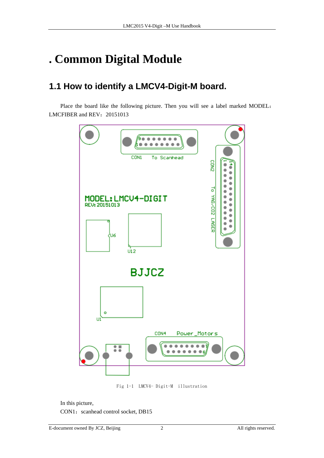# <span id="page-4-0"></span>**. Common Digital Module**

### **1.1 How to identify a LMCV4-Digit-M board.**

Place the board like the following picture. Then you will see a label marked MODEL: LMCFIBER and REV: 20151013



Fig 1-1 LMCV4- Digit-M illustration

In this picture,

CON1: scanhead control socket, DB15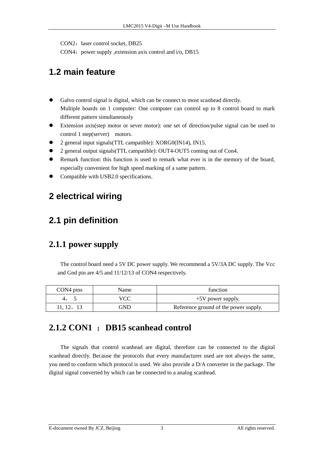<span id="page-5-0"></span>CON2: laser control socket, DB25

CON4: power supply , extension axis control and  $i$ /o, DB15

### **1.2 main feature**

- Galvo control signal is digital, which can be connect to most scanhead directly. Multiple boards on 1 computer: One computer can control up to 8 control board to mark different pattern simultaneously
- Extension axis(step motor or sever motor): one set of direction/pulse signal can be used to control 1 step(server) motors.
- 2 general input signals(TTL campatible): XORG0(IN14), IN15.
- 2 general output signals(TTL campatible): OUT4-OUT5 coming out of Con4.
- Remark function: this function is used to remark what ever is in the memory of the board, especially convenient for high speed marking of a same pattern.
- Compatible with USB2.0 specifications.

#### **2 electrical wiring**

#### **2.1 pin definition**

#### **2.1.1 power supply**

The control board need a 5V DC power supply. We recommend a 5V/3A DC supply. The Vcc and Gnd pin are 4/5 and 11/12/13 of CON4 respectively.

| CON4 pins | Name | function                              |
|-----------|------|---------------------------------------|
| 4,        |      | $+5V$ power supply.                   |
| 11. 12,   | GND  | Reference ground of the power supply. |

#### **2.1.2 CON1** :**DB15 scanhead control**

The signals that control scanhead are digital, therefore can be connected to the digital scanhead directly. Because the protocols that every manufacturer used are not always the same, you need to conform which protocol is used. We also provide a D/A converter in the package. The digital signal converted by which can be connected to a analog scanhead.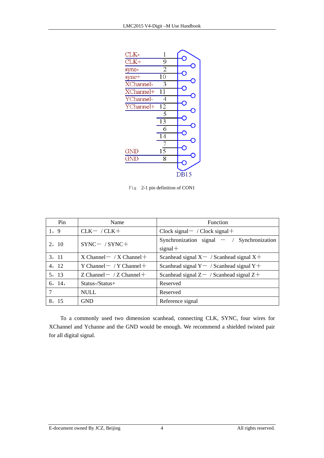

Fig 2-1 pin definition of CON1

| Pin    | Name                            | <b>Function</b>                                           |
|--------|---------------------------------|-----------------------------------------------------------|
| 1, 9   | $CLK-$ / $CLK+$                 | $Clock signal- / Clock signal+$                           |
| 2, 10  | $SYNC-$ / $SYNC+$               | Synchronization signal $-$ / Synchronization<br>$signal+$ |
| 3, 11  | $X$ Channel $-$ / X Channel $+$ | Scanhead signal $X - \sqrt{S}$ canhead signal $X +$       |
| 4, 12  | Y Channel $-$ / Y Channel $+$   | Scanhead signal $Y - /$ Scanhead signal $Y +$             |
| 5, 13  | Z Channel $-$ / Z Channel $+$   | Scanhead signal $Z-$ / Scanhead signal $Z+$               |
| 6, 14, | $Status$ -/Status+              | Reserved                                                  |
| 7      | <b>NULL</b>                     | Reserved                                                  |
| 8, 15  | <b>GND</b>                      | Reference signal                                          |

To a commonly used two dimension scanhead, connecting CLK, SYNC, four wires for XChannel and Ychanne and the GND would be enough. We recommend a shielded twisted pair for all digital signal.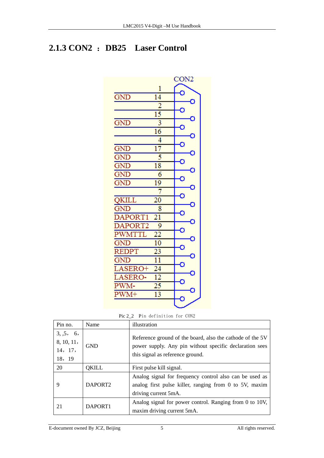### <span id="page-7-0"></span>**2.1.3 CON2** :**DB25 Laser Control**



Pic 2\_2 Pin definition for CON2

| Pin no.                                     | Name       | illustration                                                                                                                                             |
|---------------------------------------------|------------|----------------------------------------------------------------------------------------------------------------------------------------------------------|
| 3, 5, 6,<br>8, 10, 11,<br>14, 17,<br>18, 19 | <b>GND</b> | Reference ground of the board, also the cathode of the 5V<br>power supply. Any pin without specific declaration sees<br>this signal as reference ground. |
| 20                                          | QKILL      | First pulse kill signal.                                                                                                                                 |
| 9                                           | DAPORT2    | Analog signal for frequency control also can be used as<br>analog first pulse killer, ranging from 0 to 5V, maxim<br>driving current 5mA.                |
| 21                                          | DAPORT1    | Analog signal for power control. Ranging from 0 to 10V,<br>maxim driving current 5mA.                                                                    |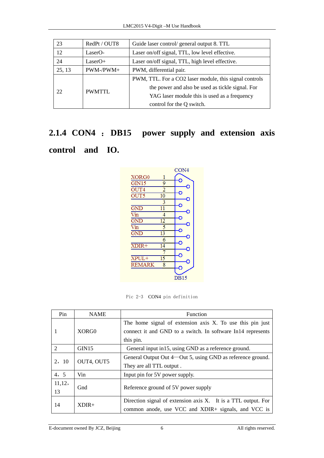| 23     | RedPt / OUT8 | Guide laser control/ general output 8. TTL             |
|--------|--------------|--------------------------------------------------------|
| 12     | LaserO-      | Laser on/off signal, TTL, low level effective.         |
| 24     | $LaserO+$    | Laser on/off signal, TTL, high level effective.        |
| 25, 13 | PWM-/PWM+    | PWM, differential pair.                                |
|        | PWMTTL       | PWM, TTL. For a CO2 laser module, this signal controls |
| 22     |              | the power and also be used as tickle signal. For       |
|        |              | YAG laser module this is used as a frequency           |
|        |              | control for the Q switch.                              |

# **2.1.4 CON4** :**DB15 power supply and extension axis control and IO.**



Pic 2-3 CON4 pin definition

| Pin                         | <b>NAME</b> | <b>Function</b>                                                                                                                       |
|-----------------------------|-------------|---------------------------------------------------------------------------------------------------------------------------------------|
| 1                           | XORG0       | The home signal of extension axis X. To use this pin just<br>connect it and GND to a switch. In software In14 represents<br>this pin. |
| $\mathcal{D}_{\mathcal{L}}$ | GIN15       | General input in 15, using GND as a reference ground.                                                                                 |
| 2, 10                       | OUT4, OUT5  | General Output Out 4—Out 5, using GND as reference ground.<br>They are all TTL output.                                                |
| 4, 5                        | Vin         | Input pin for 5V power supply.                                                                                                        |
| 11,12,<br>13                | Gnd         | Reference ground of 5V power supply                                                                                                   |
| 14                          | $XDIR+$     | Direction signal of extension axis X. It is a TTL output. For<br>common anode, use VCC and XDIR+ signals, and VCC is                  |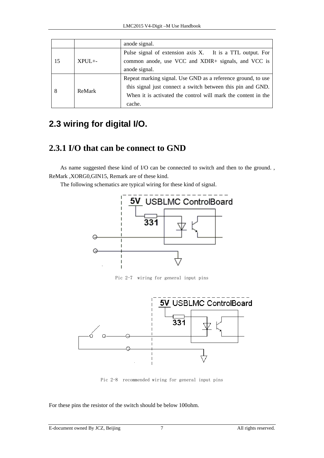|    |          | anode signal.                                                                                                                                                                                          |
|----|----------|--------------------------------------------------------------------------------------------------------------------------------------------------------------------------------------------------------|
| 15 | $XPIJL+$ | Pulse signal of extension axis X. It is a TTL output. For<br>common anode, use VCC and XDIR+ signals, and VCC is<br>anode signal.                                                                      |
|    | ReMark   | Repeat marking signal. Use GND as a reference ground, to use<br>this signal just connect a switch between this pin and GND.<br>When it is activated the control will mark the content in the<br>cache. |

### **2.3 wiring for digital I/O.**

#### **2.3.1 I/O that can be connect to GND**

As name suggested these kind of I/O can be connected to switch and then to the ground. , ReMark ,XORG0,GIN15, Remark are of these kind.

The following schematics are typical wiring for these kind of signal.



Pic 2-7 wiring for general input pins



Pic 2-8 recommended wiring for general input pins

For these pins the resistor of the switch should be below 100ohm.